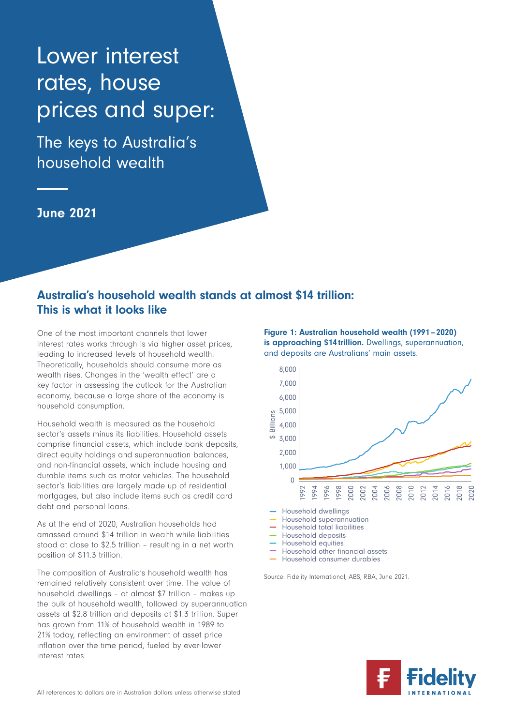# Lower interest rates, house prices and super:

The keys to Australia's household wealth

June 2021

## Australia's household wealth stands at almost \$14 trillion: This is what it looks like

One of the most important channels that lower interest rates works through is via higher asset prices, leading to increased levels of household wealth. Theoretically, households should consume more as wealth rises. Changes in the 'wealth effect' are a key factor in assessing the outlook for the Australian economy, because a large share of the economy is household consumption.

Household wealth is measured as the household sector's assets minus its liabilities. Household assets comprise financial assets, which include bank deposits, direct equity holdings and superannuation balances, and non-financial assets, which include housing and durable items such as motor vehicles. The household sector's liabilities are largely made up of residential mortgages, but also include items such as credit card debt and personal loans.

As at the end of 2020, Australian households had amassed around \$14 trillion in wealth while liabilities stood at close to \$2.5 trillion – resulting in a net worth position of \$11.3 trillion.

The composition of Australia's household wealth has remained relatively consistent over time. The value of household dwellings – at almost \$7 trillion – makes up the bulk of household wealth, followed by superannuation assets at \$2.8 trillion and deposits at \$1.3 trillion. Super has grown from 11% of household wealth in 1989 to 21% today, reflecting an environment of asset price inflation over the time period, fueled by ever-lower interest rates.

Figure 1: Australian household wealth (1991 – 2020) is approaching \$14 trillion. Dwellings, superannuation, and deposits are Australians' main assets.



- 
- Household total liabilities
- Household deposits
- Household equities
- Household other financial assets
- Household consumer durables

Source: Fidelity International, ABS, RBA, June 2021.

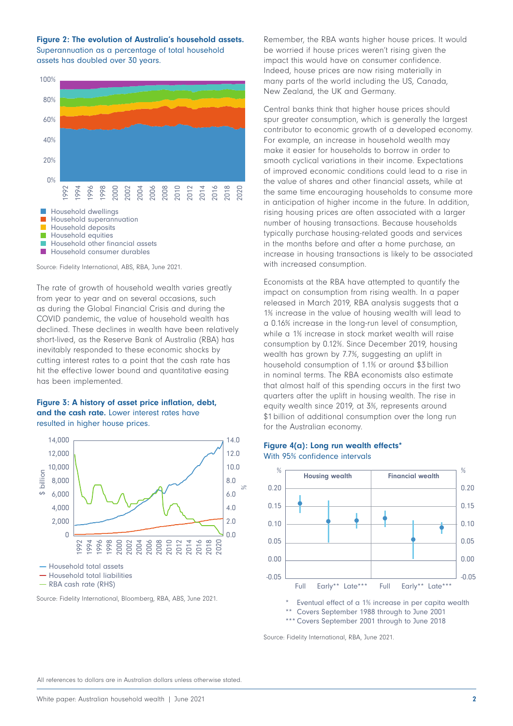Figure 2: The evolution of Australia's household assets. Superannuation as a percentage of total household

assets has doubled over 30 years.



Source: Fidelity International, ABS, RBA, June 2021.

The rate of growth of household wealth varies greatly from year to year and on several occasions, such as during the Global Financial Crisis and during the COVID pandemic, the value of household wealth has declined. These declines in wealth have been relatively short-lived, as the Reserve Bank of Australia (RBA) has inevitably responded to these economic shocks by cutting interest rates to a point that the cash rate has hit the effective lower bound and quantitative easing has been implemented.

#### Figure 3: A history of asset price inflation, debt, and the cash rate. Lower interest rates have resulted in higher house prices.



RBA cash rate (RHS)

Source: Fidelity International, Bloomberg, RBA, ABS, June 2021.

Remember, the RBA wants higher house prices. It would be worried if house prices weren't rising given the impact this would have on consumer confidence. Indeed, house prices are now rising materially in many parts of the world including the US, Canada, New Zealand, the UK and Germany.

Central banks think that higher house prices should spur greater consumption, which is generally the largest contributor to economic growth of a developed economy. For example, an increase in household wealth may make it easier for households to borrow in order to smooth cyclical variations in their income. Expectations of improved economic conditions could lead to a rise in the value of shares and other financial assets, while at the same time encouraging households to consume more in anticipation of higher income in the future. In addition, rising housing prices are often associated with a larger number of housing transactions. Because households typically purchase housing-related goods and services in the months before and after a home purchase, an increase in housing transactions is likely to be associated with increased consumption.

Economists at the RBA have attempted to quantify the impact on consumption from rising wealth. In a paper released in March 2019, RBA analysis suggests that a 1% increase in the value of housing wealth will lead to a 0.16% increase in the long-run level of consumption, while a 1% increase in stock market wealth will raise consumption by 0.12%. Since December 2019, housing wealth has grown by 7.7%, suggesting an uplift in household consumption of 1.1% or around \$3 billion in nominal terms. The RBA economists also estimate that almost half of this spending occurs in the first two quarters after the uplift in housing wealth. The rise in equity wealth since 2019, at 3%, represents around \$1 billion of additional consumption over the long run for the Australian economy.

#### Figure 4(a): Long run wealth effects\* With 95% confidence intervals



Eventual effect of a 1% increase in per capita wealth \*\* Covers September 1988 through to June 2001

\*\*\* Covers September 2001 through to June 2018

Source: Fidelity International, RBA, June 2021.

All references to dollars are in Australian dollars unless otherwise stated.